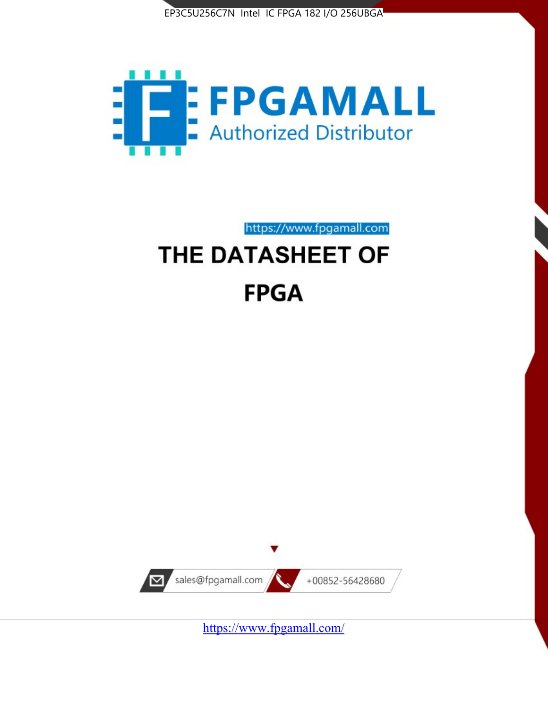



https://www.fpgamall.com THE DATASHEET OF

# **FPGA**



<https://www.fpgamall.com/>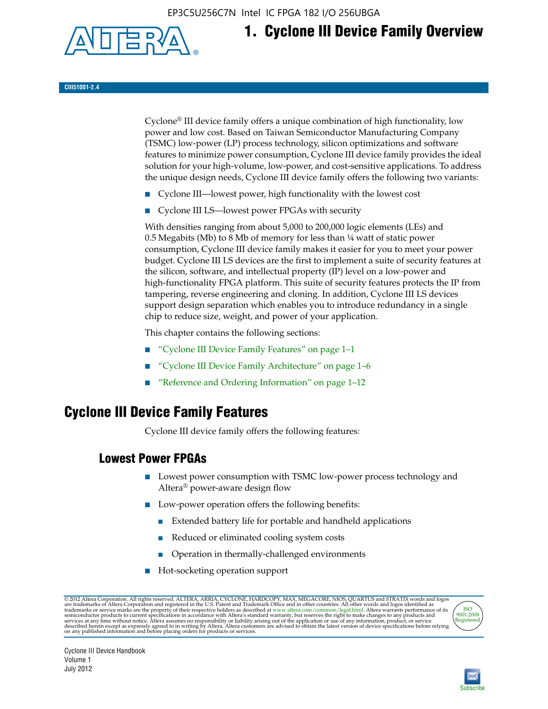EP3C5U256C7N Intel IC FPGA 182 I/O 256UBGA



## **1. Cyclone III Device Family Overview**

#### **CIII51001-2.4**

Cyclone® III device family offers a unique combination of high functionality, low power and low cost. Based on Taiwan Semiconductor Manufacturing Company (TSMC) low-power (LP) process technology, silicon optimizations and software features to minimize power consumption, Cyclone III device family provides the ideal solution for your high-volume, low-power, and cost-sensitive applications. To address the unique design needs, Cyclone III device family offers the following two variants:

- Cyclone III—lowest power, high functionality with the lowest cost
- Cyclone III LS—lowest power FPGAs with security

With densities ranging from about 5,000 to 200,000 logic elements (LEs) and 0.5 Megabits (Mb) to 8 Mb of memory for less than  $\frac{1}{4}$  watt of static power consumption, Cyclone III device family makes it easier for you to meet your power budget. Cyclone III LS devices are the first to implement a suite of security features at the silicon, software, and intellectual property (IP) level on a low-power and high-functionality FPGA platform. This suite of security features protects the IP from tampering, reverse engineering and cloning. In addition, Cyclone III LS devices support design separation which enables you to introduce redundancy in a single chip to reduce size, weight, and power of your application.

This chapter contains the following sections:

- "Cyclone III Device Family Features" on page 1–1
- "Cyclone III Device Family Architecture" on page 1–6
- "Reference and Ordering Information" on page 1–12

### **Cyclone III Device Family Features**

Cyclone III device family offers the following features:

#### **Lowest Power FPGAs**

- Lowest power consumption with TSMC low-power process technology and Altera® power-aware design flow
- Low-power operation offers the following benefits:
	- Extended battery life for portable and handheld applications
	- Reduced or eliminated cooling system costs
	- Operation in thermally-challenged environments
- Hot-socketing operation support

@ 2012 Altera Corporation. All rights reserved. ALTERA, ARRIA, CYCLONE, HARDCOPY, MAX, MEGACORE, NIOS, QUARTUS and STRATIX words and logos are trademarks of Altera Corporation and registered in the U.S. Patent and Trademar



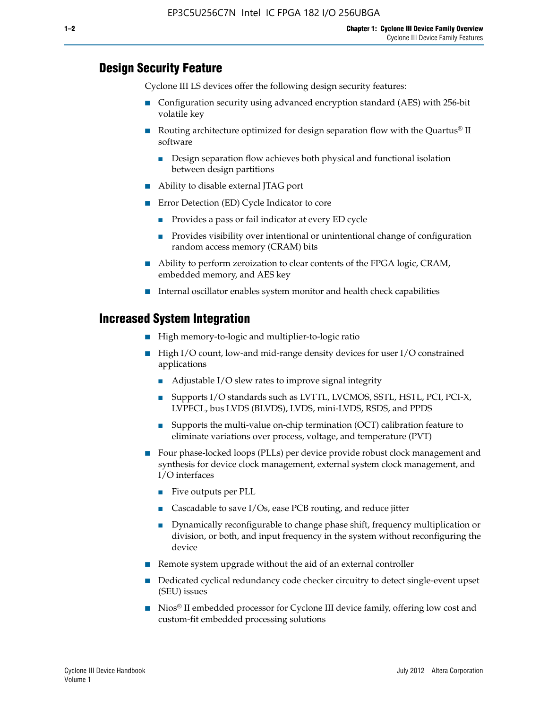#### **Design Security Feature**

Cyclone III LS devices offer the following design security features:

- Configuration security using advanced encryption standard (AES) with 256-bit volatile key
- **■** Routing architecture optimized for design separation flow with the Quartus<sup>®</sup> II software
	- Design separation flow achieves both physical and functional isolation between design partitions
- Ability to disable external JTAG port
- Error Detection (ED) Cycle Indicator to core
	- Provides a pass or fail indicator at every ED cycle
	- Provides visibility over intentional or unintentional change of configuration random access memory (CRAM) bits
- Ability to perform zeroization to clear contents of the FPGA logic, CRAM, embedded memory, and AES key
- Internal oscillator enables system monitor and health check capabilities

#### **Increased System Integration**

- High memory-to-logic and multiplier-to-logic ratio
- High I/O count, low-and mid-range density devices for user I/O constrained applications
	- Adjustable I/O slew rates to improve signal integrity
	- Supports I/O standards such as LVTTL, LVCMOS, SSTL, HSTL, PCI, PCI-X, LVPECL, bus LVDS (BLVDS), LVDS, mini-LVDS, RSDS, and PPDS
	- Supports the multi-value on-chip termination (OCT) calibration feature to eliminate variations over process, voltage, and temperature (PVT)
- Four phase-locked loops (PLLs) per device provide robust clock management and synthesis for device clock management, external system clock management, and I/O interfaces
	- Five outputs per PLL
	- Cascadable to save I/Os, ease PCB routing, and reduce jitter
	- Dynamically reconfigurable to change phase shift, frequency multiplication or division, or both, and input frequency in the system without reconfiguring the device
- Remote system upgrade without the aid of an external controller
- Dedicated cyclical redundancy code checker circuitry to detect single-event upset (SEU) issues
- Nios<sup>®</sup> II embedded processor for Cyclone III device family, offering low cost and custom-fit embedded processing solutions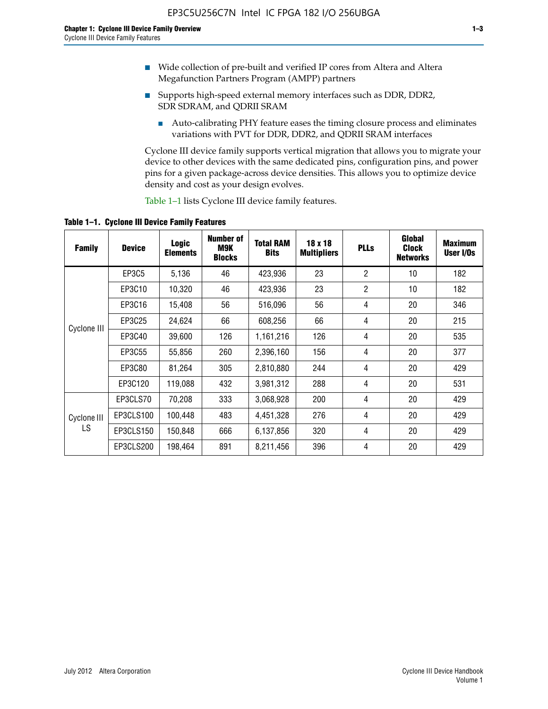- Wide collection of pre-built and verified IP cores from Altera and Altera Megafunction Partners Program (AMPP) partners
- Supports high-speed external memory interfaces such as DDR, DDR2, SDR SDRAM, and QDRII SRAM
	- Auto-calibrating PHY feature eases the timing closure process and eliminates variations with PVT for DDR, DDR2, and QDRII SRAM interfaces

Cyclone III device family supports vertical migration that allows you to migrate your device to other devices with the same dedicated pins, configuration pins, and power pins for a given package-across device densities. This allows you to optimize device density and cost as your design evolves.

Table 1–1 lists Cyclone III device family features.

**Table 1–1. Cyclone III Device Family Features**

| <b>Family</b> | <b>Device</b> | <b>Logic</b><br><b>Elements</b> | Number of<br>M9K<br><b>Blocks</b> | <b>Total RAM</b><br><b>Bits</b> | 18 x 18<br><b>Multipliers</b> | <b>PLLs</b>    | Global<br><b>Clock</b><br><b>Networks</b> | <b>Maximum</b><br>User I/Os |
|---------------|---------------|---------------------------------|-----------------------------------|---------------------------------|-------------------------------|----------------|-------------------------------------------|-----------------------------|
|               | <b>EP3C5</b>  | 5,136                           | 46                                | 423,936                         | 23                            | $\overline{2}$ | 10                                        | 182                         |
|               | EP3C10        | 10,320                          | 46                                | 423,936                         | 23                            | $\overline{2}$ | 10                                        | 182                         |
|               | EP3C16        | 15,408                          | 56                                | 516,096                         | 56                            | 4              | 20                                        | 346                         |
| Cyclone III   | EP3C25        | 24,624                          | 66                                | 608,256                         | 66                            | 4              | 20                                        | 215                         |
|               | EP3C40        | 39,600                          | 126                               | 1,161,216                       | 126                           | $\overline{4}$ | 20                                        | 535                         |
|               | EP3C55        | 55,856                          | 260                               | 2,396,160                       | 156                           | 4              | 20                                        | 377                         |
|               | EP3C80        | 81,264                          | 305                               | 2,810,880                       | 244                           | 4              | 20                                        | 429                         |
|               | EP3C120       | 119,088                         | 432                               | 3,981,312                       | 288                           | 4              | 20                                        | 531                         |
|               | EP3CLS70      | 70,208                          | 333                               | 3,068,928                       | 200                           | $\overline{4}$ | 20                                        | 429                         |
| Cyclone III   | EP3CLS100     | 100,448                         | 483                               | 4,451,328                       | 276                           | 4              | 20                                        | 429                         |
| LS            | EP3CLS150     | 150,848                         | 666                               | 6,137,856                       | 320                           | 4              | 20                                        | 429                         |
|               | EP3CLS200     | 198,464                         | 891                               | 8,211,456                       | 396                           | 4              | 20                                        | 429                         |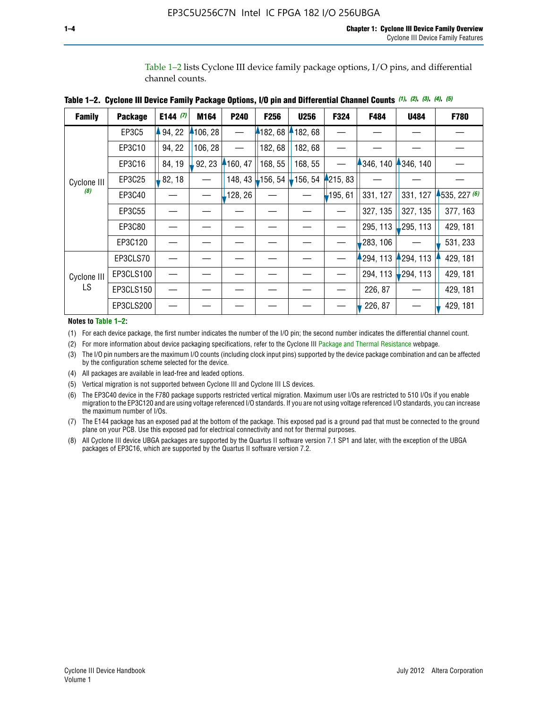Table 1–2 lists Cyclone III device family package options, I/O pins, and differential channel counts.

| <b>Family</b> | <b>Package</b> | E144 $(7)$ | M164     | P240     | F <sub>256</sub>  | <b>U256</b> | F324       | F484      | <b>U484</b> | F780         |
|---------------|----------------|------------|----------|----------|-------------------|-------------|------------|-----------|-------------|--------------|
|               | EP3C5          | 94, 22     | 4106, 28 |          | 182,68            | 182, 68     |            |           |             |              |
|               | EP3C10         | 94, 22     | 106, 28  |          | 182, 68           | 182,68      |            |           |             |              |
|               | EP3C16         | 84, 19     | 92, 23   | 160, 47  | 168, 55           | 168, 55     |            | 346, 140  | 4346, 140   |              |
| Cyclone III   | EP3C25         | 82, 18     |          | 148, 43  | $156, 54$ 156, 54 |             | 4215, 83   |           |             |              |
| (8)           | EP3C40         |            |          | ,128, 26 |                   |             | $-195, 61$ | 331, 127  | 331, 127    | 1535, 227(6) |
|               | EP3C55         |            |          |          |                   |             |            | 327, 135  | 327, 135    | 377, 163     |
|               | EP3C80         |            |          |          |                   |             |            | 295, 113  | 295, 113    | 429, 181     |
|               | EP3C120        |            |          |          |                   |             |            | 283, 106  |             | 531, 233     |
|               | EP3CLS70       |            |          |          |                   |             |            | 1294, 113 | 294, 113    | 429, 181     |
| Cyclone III   | EP3CLS100      |            |          |          |                   |             |            | 294, 113  | $-294, 113$ | 429, 181     |
| LS.           | EP3CLS150      |            |          |          |                   |             |            | 226, 87   |             | 429, 181     |
|               | EP3CLS200      |            |          |          |                   |             |            | 226, 87   |             | 429, 181     |

|  | Table 1–2. Cyclone III Device Family Package Options, I/O pin and Differential Channel Counts (1), (2), (3), (4), (5) |  |  |  |  |  |  |  |  |
|--|-----------------------------------------------------------------------------------------------------------------------|--|--|--|--|--|--|--|--|
|--|-----------------------------------------------------------------------------------------------------------------------|--|--|--|--|--|--|--|--|

**Notes to Table 1–2:**

(1) For each device package, the first number indicates the number of the I/O pin; the second number indicates the differential channel count.

(2) For more information about device packaging specifications, refer to the Cyclone III [Package and Thermal Resistance](http://www.altera.com/support/devices/packaging/specifications/pkg-pin/dev-package-listing.jsp?device=Cyclone_III) webpage.

(3) The I/O pin numbers are the maximum I/O counts (including clock input pins) supported by the device package combination and can be affected by the configuration scheme selected for the device.

(4) All packages are available in lead-free and leaded options.

(5) Vertical migration is not supported between Cyclone III and Cyclone III LS devices.

(6) The EP3C40 device in the F780 package supports restricted vertical migration. Maximum user I/Os are restricted to 510 I/Os if you enable migration to the EP3C120 and are using voltage referenced I/O standards. If you are not using voltage referenced I/O standards, you can increase the maximum number of I/Os.

(7) The E144 package has an exposed pad at the bottom of the package. This exposed pad is a ground pad that must be connected to the ground plane on your PCB. Use this exposed pad for electrical connectivity and not for thermal purposes.

(8) All Cyclone III device UBGA packages are supported by the Quartus II software version 7.1 SP1 and later, with the exception of the UBGA packages of EP3C16, which are supported by the Quartus II software version 7.2.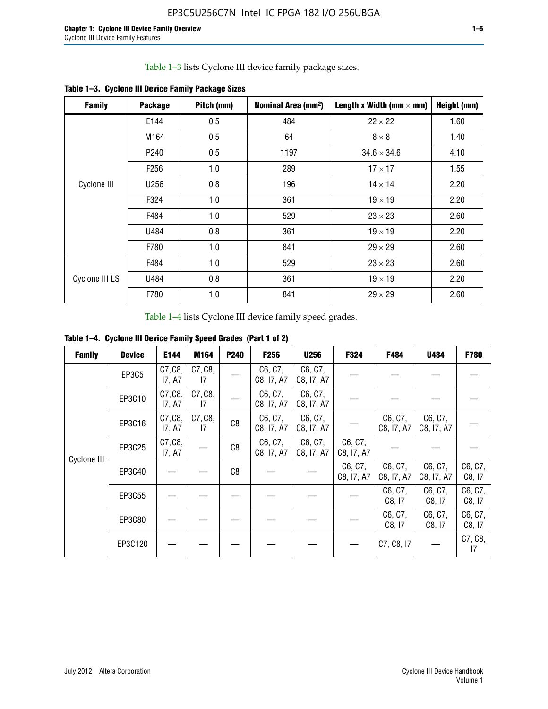Table 1–3 lists Cyclone III device family package sizes.

| <b>Family</b>  | <b>Package</b>   | Pitch (mm) | Nominal Area (mm <sup>2</sup> ) | Length x Width (mm $\times$ mm) | Height (mm) |
|----------------|------------------|------------|---------------------------------|---------------------------------|-------------|
|                | E144             | 0.5        | 484                             | $22 \times 22$                  | 1.60        |
|                | M164             | 0.5        | 64                              | $8 \times 8$                    | 1.40        |
|                | P <sub>240</sub> | 0.5        | 1197                            | $34.6 \times 34.6$              | 4.10        |
|                | F <sub>256</sub> | 1.0        | 289                             | $17 \times 17$                  | 1.55        |
| Cyclone III    | U256             | 0.8        | 196                             | $14 \times 14$                  | 2.20        |
|                | F324             | 1.0        | 361                             | $19 \times 19$                  | 2.20        |
|                | F484             | 1.0        | 529                             | $23 \times 23$                  | 2.60        |
|                | U484             | 0.8        | 361                             | $19 \times 19$                  | 2.20        |
|                | F780             | 1.0        | 841                             | $29 \times 29$                  | 2.60        |
|                | F484             | 1.0        | 529                             | $23 \times 23$                  | 2.60        |
| Cyclone III LS | U484             | 0.8        | 361                             | $19 \times 19$                  | 2.20        |
|                | F780             | 1.0        | 841                             | $29 \times 29$                  | 2.60        |

**Table 1–3. Cyclone III Device Family Package Sizes**

Table 1–4 lists Cyclone III device family speed grades.

**Table 1–4. Cyclone III Device Family Speed Grades (Part 1 of 2)**

| <b>Family</b> | <b>Device</b> | E144              | M164          | <b>P240</b>    | F <sub>256</sub>      | <b>U256</b>           | F324                  | F484                  | U484                  | <b>F780</b>       |
|---------------|---------------|-------------------|---------------|----------------|-----------------------|-----------------------|-----------------------|-----------------------|-----------------------|-------------------|
|               | <b>EP3C5</b>  | C7, C8,<br>I7, A7 | C7, C8,<br>17 |                | C6, C7,<br>C8, I7, A7 | C6, C7,<br>C8, I7, A7 |                       |                       |                       |                   |
|               | EP3C10        | C7, C8,<br>17, A7 | C7, C8,<br>17 |                | C6, C7,<br>C8, I7, A7 | C6, C7,<br>C8, I7, A7 |                       |                       |                       |                   |
|               | EP3C16        | C7, C8,<br>17, A7 | C7, C8,<br>17 | C <sub>8</sub> | C6, C7,<br>C8, I7, A7 | C6, C7,<br>C8, I7, A7 |                       | C6, C7,<br>C8, I7, A7 | C6, C7,<br>C8, I7, A7 |                   |
| Cyclone III   | EP3C25        | C7, C8,<br>17, A7 |               | C8             | C6, C7,<br>C8, I7, A7 | C6, C7,<br>C8, I7, A7 | C6, C7,<br>C8, I7, A7 |                       |                       |                   |
|               | EP3C40        |                   |               | C8             |                       |                       | C6, C7,<br>C8, I7, A7 | C6, C7,<br>C8, I7, A7 | C6, C7,<br>C8, I7, A7 | C6, C7,<br>C8, 17 |
|               | EP3C55        |                   |               |                |                       |                       |                       | C6, C7,<br>C8, 17     | C6, C7,<br>C8, 17     | C6, C7,<br>C8, 17 |
|               | EP3C80        |                   |               |                |                       |                       |                       | C6, C7,<br>C8, 17     | C6, C7,<br>C8, 17     | C6, C7,<br>C8, 17 |
|               | EP3C120       |                   |               |                |                       |                       |                       | C7, C8, I7            |                       | C7, C8,<br>17     |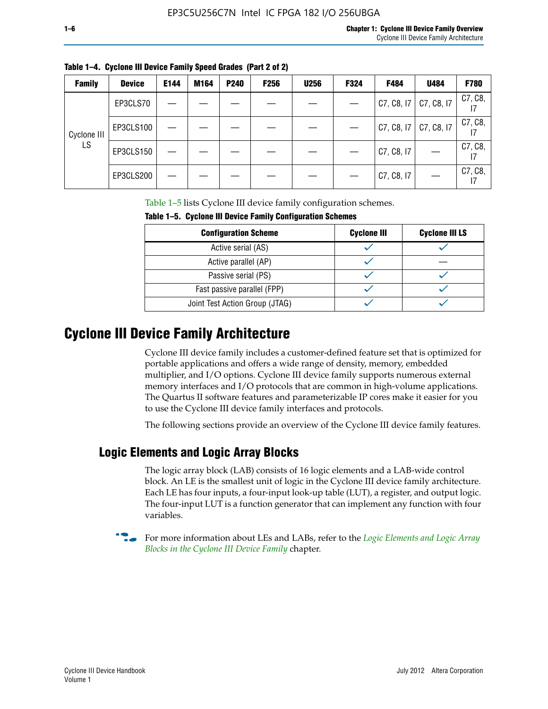I7

I7

I7

Cyclone III LS

| <b>Family</b> | <b>Device</b> | E144 | M164 | P240 | F <sub>256</sub> | <b>U256</b> | F324 | F484       | U484       | <b>F780</b> |
|---------------|---------------|------|------|------|------------------|-------------|------|------------|------------|-------------|
|               | EP3CLS70      |      |      |      |                  |             |      | C7, C8, I7 | C7, C8, I7 | C7, C8,     |
| $\sim$ $\sim$ | EP3CLS100     |      |      |      |                  |             |      | C7, C8, 17 | C7, C8, I7 | C7, C8,     |

**Table 1–4. Cyclone III Device Family Speed Grades (Part 2 of 2)**

Table 1–5 lists Cyclone III device family configuration schemes.

| <b>Configuration Scheme</b>    | <b>Cyclone III</b> | <b>Cyclone III LS</b> |  |  |
|--------------------------------|--------------------|-----------------------|--|--|
| Active serial (AS)             |                    |                       |  |  |
| Active parallel (AP)           |                    |                       |  |  |
| Passive serial (PS)            |                    |                       |  |  |
| Fast passive parallel (FPP)    |                    |                       |  |  |
| Joint Test Action Group (JTAG) |                    |                       |  |  |

EP3CLS150  $| - | - | - | - | - | - | - | - |$  C7, C8, I7  $| - |$  C7, C8,

EP3CLS200  $| - | - | - | - | - | - | - | - |$  C7, C8, I7  $| - |$  C7, C8,

**Table 1–5. Cyclone III Device Family Configuration Schemes**

### **Cyclone III Device Family Architecture**

Cyclone III device family includes a customer-defined feature set that is optimized for portable applications and offers a wide range of density, memory, embedded multiplier, and I/O options. Cyclone III device family supports numerous external memory interfaces and I/O protocols that are common in high-volume applications. The Quartus II software features and parameterizable IP cores make it easier for you to use the Cyclone III device family interfaces and protocols.

The following sections provide an overview of the Cyclone III device family features.

#### **Logic Elements and Logic Array Blocks**

The logic array block (LAB) consists of 16 logic elements and a LAB-wide control block. An LE is the smallest unit of logic in the Cyclone III device family architecture. Each LE has four inputs, a four-input look-up table (LUT), a register, and output logic. The four-input LUT is a function generator that can implement any function with four variables.

f For more information about LEs and LABs, refer to the *[Logic Elements and Logic Array](http://www.altera.com/literature/hb/cyc3/cyc3_ciii51002.pdf)  [Blocks in the Cyclone III Device Family](http://www.altera.com/literature/hb/cyc3/cyc3_ciii51002.pdf)* chapter.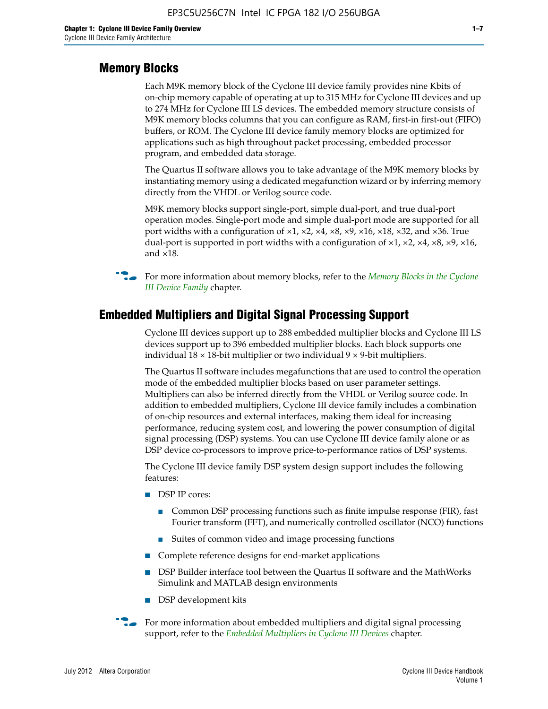#### **Memory Blocks**

Each M9K memory block of the Cyclone III device family provides nine Kbits of on-chip memory capable of operating at up to 315 MHz for Cyclone III devices and up to 274 MHz for Cyclone III LS devices. The embedded memory structure consists of M9K memory blocks columns that you can configure as RAM, first-in first-out (FIFO) buffers, or ROM. The Cyclone III device family memory blocks are optimized for applications such as high throughout packet processing, embedded processor program, and embedded data storage.

The Quartus II software allows you to take advantage of the M9K memory blocks by instantiating memory using a dedicated megafunction wizard or by inferring memory directly from the VHDL or Verilog source code.

M9K memory blocks support single-port, simple dual-port, and true dual-port operation modes. Single-port mode and simple dual-port mode are supported for all port widths with a configuration of  $\times$ 1,  $\times$ 2,  $\times$ 4,  $\times$ 8,  $\times$ 9,  $\times$ 16,  $\times$ 18,  $\times$ 32, and  $\times$ 36. True dual-port is supported in port widths with a configuration of  $\times$ 1,  $\times$ 2,  $\times$ 4,  $\times$ 8,  $\times$ 9,  $\times$ 16, and ×18.



**For more information about memory blocks, refer to the** *Memory Blocks in the Cyclone [III Device Family](http://www.altera.com/literature/hb/cyc3/cyc3_ciii51004.pdf)* chapter.

#### **Embedded Multipliers and Digital Signal Processing Support**

Cyclone III devices support up to 288 embedded multiplier blocks and Cyclone III LS devices support up to 396 embedded multiplier blocks. Each block supports one individual  $18 \times 18$ -bit multiplier or two individual  $9 \times 9$ -bit multipliers.

The Quartus II software includes megafunctions that are used to control the operation mode of the embedded multiplier blocks based on user parameter settings. Multipliers can also be inferred directly from the VHDL or Verilog source code. In addition to embedded multipliers, Cyclone III device family includes a combination of on-chip resources and external interfaces, making them ideal for increasing performance, reducing system cost, and lowering the power consumption of digital signal processing (DSP) systems. You can use Cyclone III device family alone or as DSP device co-processors to improve price-to-performance ratios of DSP systems.

The Cyclone III device family DSP system design support includes the following features:

- DSP IP cores:
	- Common DSP processing functions such as finite impulse response (FIR), fast Fourier transform (FFT), and numerically controlled oscillator (NCO) functions
	- Suites of common video and image processing functions
- Complete reference designs for end-market applications
- DSP Builder interface tool between the Quartus II software and the MathWorks Simulink and MATLAB design environments
- DSP development kits
- For more information about embedded multipliers and digital signal processing support, refer to the *[Embedded Multipliers in Cyclone III Devices](http://www.altera.com/literature/hb/cyc3/cyc3_ciii51005.pdf)* chapter.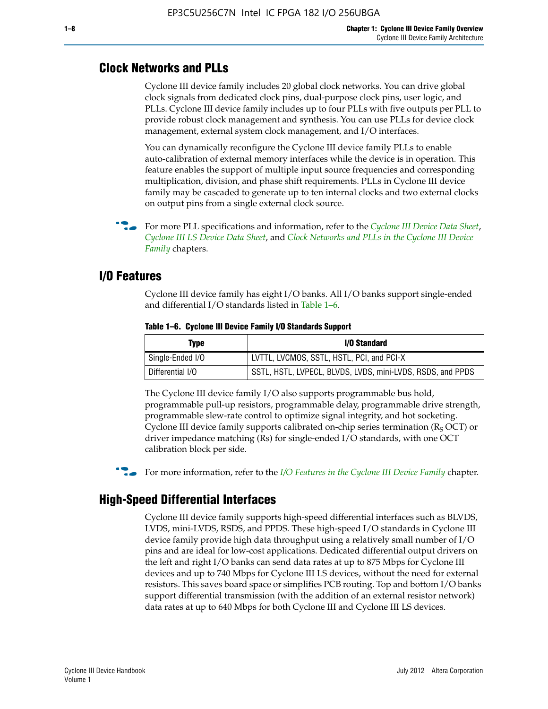#### **Clock Networks and PLLs**

Cyclone III device family includes 20 global clock networks. You can drive global clock signals from dedicated clock pins, dual-purpose clock pins, user logic, and PLLs. Cyclone III device family includes up to four PLLs with five outputs per PLL to provide robust clock management and synthesis. You can use PLLs for device clock management, external system clock management, and I/O interfaces.

You can dynamically reconfigure the Cyclone III device family PLLs to enable auto-calibration of external memory interfaces while the device is in operation. This feature enables the support of multiple input source frequencies and corresponding multiplication, division, and phase shift requirements. PLLs in Cyclone III device family may be cascaded to generate up to ten internal clocks and two external clocks on output pins from a single external clock source.

**For more PLL specifications and information, refer to the** *[Cyclone III Device Data Sheet](http://www.altera.com/literature/hb/cyc3/cyc3_ciii52001.pdf)***,** *[Cyclone III LS Device Data Sheet](http://www.altera.com/literature/hb/cyc3/cyc3_ciii52002.pdf)*, and *[Clock Networks and PLLs in the Cyclone III Device](http://www.altera.com/literature/hb/cyc3/cyc3_ciii51006.pdf)  [Family](http://www.altera.com/literature/hb/cyc3/cyc3_ciii51006.pdf)* chapters.

#### **I/O Features**

Cyclone III device family has eight I/O banks. All I/O banks support single-ended and differential I/O standards listed in Table 1–6.

| Type             | <b>I/O Standard</b>                                        |
|------------------|------------------------------------------------------------|
| Single-Ended I/O | LVTTL, LVCMOS, SSTL, HSTL, PCI, and PCI-X                  |
| Differential I/O | SSTL, HSTL, LVPECL, BLVDS, LVDS, mini-LVDS, RSDS, and PPDS |

**Table 1–6. Cyclone III Device Family I/O Standards Support** 

The Cyclone III device family I/O also supports programmable bus hold, programmable pull-up resistors, programmable delay, programmable drive strength, programmable slew-rate control to optimize signal integrity, and hot socketing. Cyclone III device family supports calibrated on-chip series termination ( $R_S$  OCT) or driver impedance matching (Rs) for single-ended I/O standards, with one OCT calibration block per side.

For more information, refer to the *[I/O Features in the Cyclone III Device Family](http://www.altera.com/literature/hb/cyc3/cyc3_ciii51007.pdf)* chapter.

#### **High-Speed Differential Interfaces**

Cyclone III device family supports high-speed differential interfaces such as BLVDS, LVDS, mini-LVDS, RSDS, and PPDS. These high-speed I/O standards in Cyclone III device family provide high data throughput using a relatively small number of I/O pins and are ideal for low-cost applications. Dedicated differential output drivers on the left and right I/O banks can send data rates at up to 875 Mbps for Cyclone III devices and up to 740 Mbps for Cyclone III LS devices, without the need for external resistors. This saves board space or simplifies PCB routing. Top and bottom I/O banks support differential transmission (with the addition of an external resistor network) data rates at up to 640 Mbps for both Cyclone III and Cyclone III LS devices.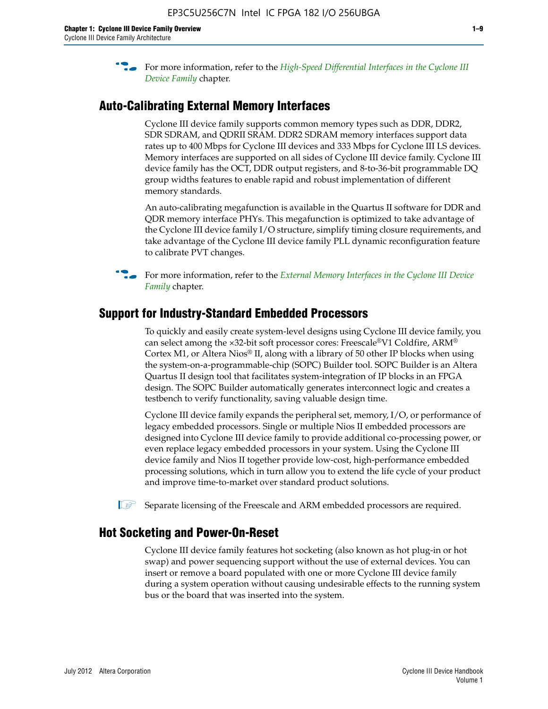**For more information, refer to the** *High-Speed Differential Interfaces in the Cyclone III* $\overline{a}$ *[Device Family](http://www.altera.com/literature/hb/cyc3/cyc3_ciii51008.pdf)* chapter.

#### **Auto-Calibrating External Memory Interfaces**

Cyclone III device family supports common memory types such as DDR, DDR2, SDR SDRAM, and QDRII SRAM. DDR2 SDRAM memory interfaces support data rates up to 400 Mbps for Cyclone III devices and 333 Mbps for Cyclone III LS devices. Memory interfaces are supported on all sides of Cyclone III device family. Cyclone III device family has the OCT, DDR output registers, and 8-to-36-bit programmable DQ group widths features to enable rapid and robust implementation of different memory standards.

An auto-calibrating megafunction is available in the Quartus II software for DDR and QDR memory interface PHYs. This megafunction is optimized to take advantage of the Cyclone III device family I/O structure, simplify timing closure requirements, and take advantage of the Cyclone III device family PLL dynamic reconfiguration feature to calibrate PVT changes.

**For more information, refer to the** *External Memory Interfaces in the Cyclone III Device [Family](http://www.altera.com/literature/hb/cyc3/cyc3_ciii51009.pdf)* chapter.

#### **Support for Industry-Standard Embedded Processors**

To quickly and easily create system-level designs using Cyclone III device family, you can select among the ×32-bit soft processor cores: Freescale®V1 Coldfire, ARM® Cortex M1, or Altera Nios® II, along with a library of 50 other IP blocks when using the system-on-a-programmable-chip (SOPC) Builder tool. SOPC Builder is an Altera Quartus II design tool that facilitates system-integration of IP blocks in an FPGA design. The SOPC Builder automatically generates interconnect logic and creates a testbench to verify functionality, saving valuable design time.

Cyclone III device family expands the peripheral set, memory, I/O, or performance of legacy embedded processors. Single or multiple Nios II embedded processors are designed into Cyclone III device family to provide additional co-processing power, or even replace legacy embedded processors in your system. Using the Cyclone III device family and Nios II together provide low-cost, high-performance embedded processing solutions, which in turn allow you to extend the life cycle of your product and improve time-to-market over standard product solutions.

 $\mathbb{I}$  Separate licensing of the Freescale and ARM embedded processors are required.

#### **Hot Socketing and Power-On-Reset**

Cyclone III device family features hot socketing (also known as hot plug-in or hot swap) and power sequencing support without the use of external devices. You can insert or remove a board populated with one or more Cyclone III device family during a system operation without causing undesirable effects to the running system bus or the board that was inserted into the system.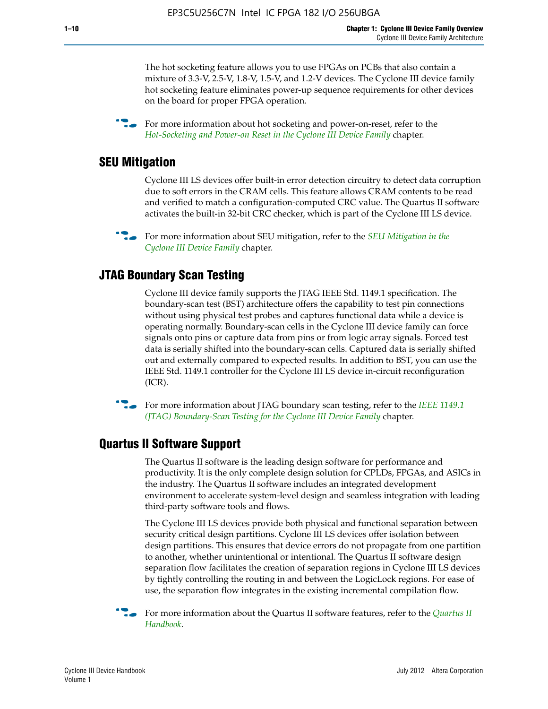The hot socketing feature allows you to use FPGAs on PCBs that also contain a mixture of 3.3-V, 2.5-V, 1.8-V, 1.5-V, and 1.2-V devices. The Cyclone III device family hot socketing feature eliminates power-up sequence requirements for other devices on the board for proper FPGA operation.

For more information about hot socketing and power-on-reset, refer to the *[Hot-Socketing and Power-on Reset in the Cyclone III Device Family](http://www.altera.com/literature/hb/cyc3/cyc3_ciii51011.pdf)* chapter.

#### **SEU Mitigation**

Cyclone III LS devices offer built-in error detection circuitry to detect data corruption due to soft errors in the CRAM cells. This feature allows CRAM contents to be read and verified to match a configuration-computed CRC value. The Quartus II software activates the built-in 32-bit CRC checker, which is part of the Cyclone III LS device.

**For more information about SEU mitigation, refer to the** *SEU Mitigation in the [Cyclone III Device Family](http://www.altera.com/literature/hb/cyc3/cyc3_ciii51013.pdf)* chapter.

#### **JTAG Boundary Scan Testing**

Cyclone III device family supports the JTAG IEEE Std. 1149.1 specification. The boundary-scan test (BST) architecture offers the capability to test pin connections without using physical test probes and captures functional data while a device is operating normally. Boundary-scan cells in the Cyclone III device family can force signals onto pins or capture data from pins or from logic array signals. Forced test data is serially shifted into the boundary-scan cells. Captured data is serially shifted out and externally compared to expected results. In addition to BST, you can use the IEEE Std. 1149.1 controller for the Cyclone III LS device in-circuit reconfiguration (ICR).

**f f**or more information about JTAG boundary scan testing, refer to the *IEEE* 1149.1 *[\(JTAG\) Boundary-Scan Testing for the Cyclone III Device Family](http://www.altera.com/literature/hb/cyc3/cyc3_ciii51014.pdf)* chapter.

#### **Quartus II Software Support**

The Quartus II software is the leading design software for performance and productivity. It is the only complete design solution for CPLDs, FPGAs, and ASICs in the industry. The Quartus II software includes an integrated development environment to accelerate system-level design and seamless integration with leading third-party software tools and flows.

The Cyclone III LS devices provide both physical and functional separation between security critical design partitions. Cyclone III LS devices offer isolation between design partitions. This ensures that device errors do not propagate from one partition to another, whether unintentional or intentional. The Quartus II software design separation flow facilitates the creation of separation regions in Cyclone III LS devices by tightly controlling the routing in and between the LogicLock regions. For ease of use, the separation flow integrates in the existing incremental compilation flow.

f For more information about the Quartus II software features, refer to the *[Quartus II](http://www.altera.com/literature/hb/qts/quartusii_handbook.pdf)  [Handbook](http://www.altera.com/literature/hb/qts/quartusii_handbook.pdf)*.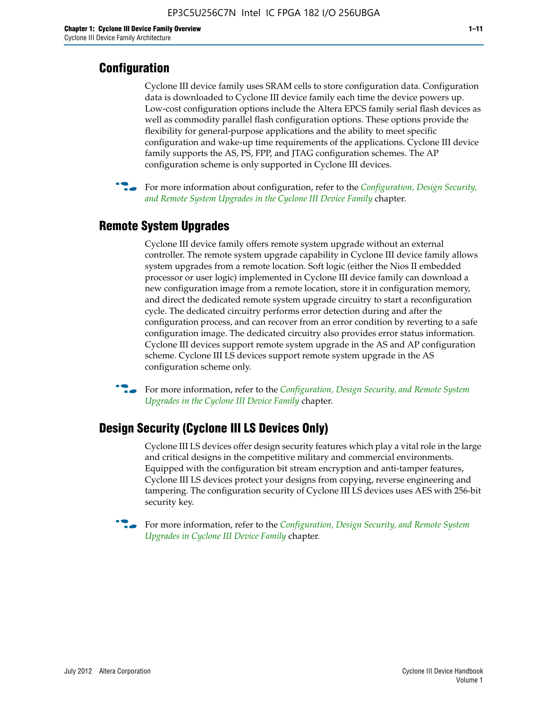#### **Configuration**

Cyclone III device family uses SRAM cells to store configuration data. Configuration data is downloaded to Cyclone III device family each time the device powers up. Low-cost configuration options include the Altera EPCS family serial flash devices as well as commodity parallel flash configuration options. These options provide the flexibility for general-purpose applications and the ability to meet specific configuration and wake-up time requirements of the applications. Cyclone III device family supports the AS, PS, FPP, and JTAG configuration schemes. The AP configuration scheme is only supported in Cyclone III devices.



f For more information about configuration, refer to the *[Configuration, Design Security,](http://www.altera.com/literature/hb/cyc3/cyc3_ciii51016.pdf)  [and Remote System Upgrades in the Cyclone III Device Family](http://www.altera.com/literature/hb/cyc3/cyc3_ciii51016.pdf)* chapter.

#### **Remote System Upgrades**

Cyclone III device family offers remote system upgrade without an external controller. The remote system upgrade capability in Cyclone III device family allows system upgrades from a remote location. Soft logic (either the Nios II embedded processor or user logic) implemented in Cyclone III device family can download a new configuration image from a remote location, store it in configuration memory, and direct the dedicated remote system upgrade circuitry to start a reconfiguration cycle. The dedicated circuitry performs error detection during and after the configuration process, and can recover from an error condition by reverting to a safe configuration image. The dedicated circuitry also provides error status information. Cyclone III devices support remote system upgrade in the AS and AP configuration scheme. Cyclone III LS devices support remote system upgrade in the AS configuration scheme only.

**For more information, refer to the** *Configuration, Design Security, and Remote System [Upgrades in the Cyclone III Device Family](http://www.altera.com/literature/hb/cyc3/cyc3_ciii51016.pdf)* chapter.

#### **Design Security (Cyclone III LS Devices Only)**

Cyclone III LS devices offer design security features which play a vital role in the large and critical designs in the competitive military and commercial environments. Equipped with the configuration bit stream encryption and anti-tamper features, Cyclone III LS devices protect your designs from copying, reverse engineering and tampering. The configuration security of Cyclone III LS devices uses AES with 256-bit security key.

f For more information, refer to the *[Configuration, Design Security, and Remote System](http://www.altera.com/literature/hb/cyc3/cyc3_ciii51016.pdf)  [Upgrades in Cyclone III Device Family](http://www.altera.com/literature/hb/cyc3/cyc3_ciii51016.pdf)* chapter.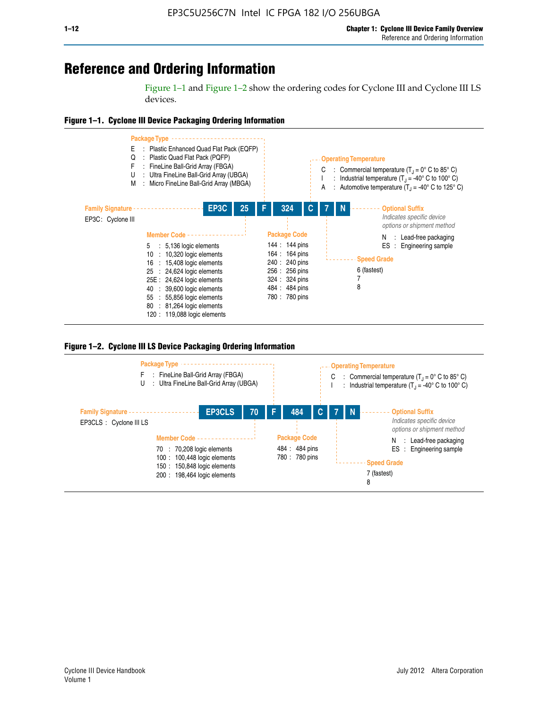## **Reference and Ordering Information**

Figure 1–1 and Figure 1–2 show the ordering codes for Cyclone III and Cyclone III LS devices.







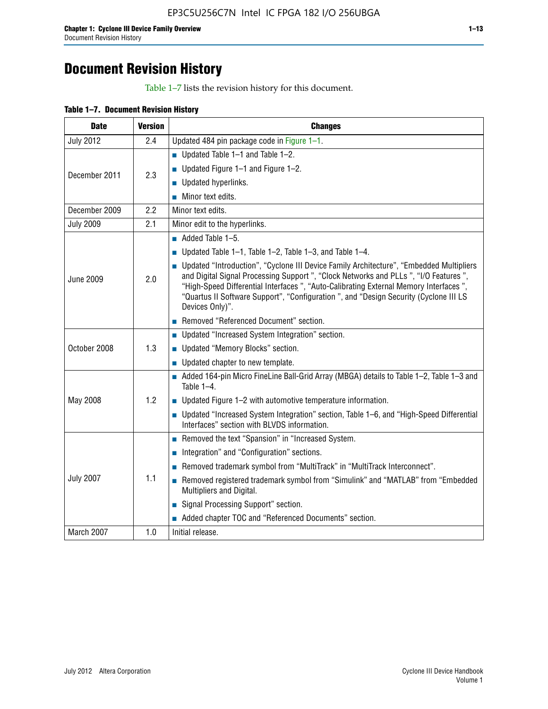## **Document Revision History**

Table 1–7 lists the revision history for this document.

|  | Table 1-7. Document Revision History |  |  |  |
|--|--------------------------------------|--|--|--|
|--|--------------------------------------|--|--|--|

| <b>Date</b>      | <b>Version</b> | <b>Changes</b>                                                                                                                                                                                                                                                                                                                                                                          |
|------------------|----------------|-----------------------------------------------------------------------------------------------------------------------------------------------------------------------------------------------------------------------------------------------------------------------------------------------------------------------------------------------------------------------------------------|
| <b>July 2012</b> | 2.4            | Updated 484 pin package code in Figure 1-1.                                                                                                                                                                                                                                                                                                                                             |
|                  |                | Updated Table $1-1$ and Table $1-2$ .                                                                                                                                                                                                                                                                                                                                                   |
| December 2011    | 2.3            | ■ Updated Figure $1-1$ and Figure $1-2$ .                                                                                                                                                                                                                                                                                                                                               |
|                  |                | Updated hyperlinks.                                                                                                                                                                                                                                                                                                                                                                     |
|                  |                | Minor text edits.                                                                                                                                                                                                                                                                                                                                                                       |
| December 2009    | 2.2            | Minor text edits.                                                                                                                                                                                                                                                                                                                                                                       |
| <b>July 2009</b> | 2.1            | Minor edit to the hyperlinks.                                                                                                                                                                                                                                                                                                                                                           |
|                  |                | $\blacksquare$ Added Table 1-5.                                                                                                                                                                                                                                                                                                                                                         |
|                  |                | Updated Table $1-1$ , Table $1-2$ , Table $1-3$ , and Table $1-4$ .                                                                                                                                                                                                                                                                                                                     |
| <b>June 2009</b> | 2.0            | • Updated "Introduction", "Cyclone III Device Family Architecture", "Embedded Multipliers<br>and Digital Signal Processing Support ", "Clock Networks and PLLs ", "I/O Features ",<br>"High-Speed Differential Interfaces ", "Auto-Calibrating External Memory Interfaces",<br>"Quartus II Software Support", "Configuration ", and "Design Security (Cyclone III LS<br>Devices Only)". |
|                  |                | Removed "Referenced Document" section.                                                                                                                                                                                                                                                                                                                                                  |
|                  |                | <b>Updated "Increased System Integration" section.</b>                                                                                                                                                                                                                                                                                                                                  |
| October 2008     | 1.3            | Updated "Memory Blocks" section.                                                                                                                                                                                                                                                                                                                                                        |
|                  |                | • Updated chapter to new template.                                                                                                                                                                                                                                                                                                                                                      |
|                  |                | Added 164-pin Micro FineLine Ball-Grid Array (MBGA) details to Table 1-2, Table 1-3 and<br>Table 1-4.                                                                                                                                                                                                                                                                                   |
| May 2008         | 1.2            | $\blacksquare$ Updated Figure 1-2 with automotive temperature information.                                                                                                                                                                                                                                                                                                              |
|                  |                | ■ Updated "Increased System Integration" section, Table 1–6, and "High-Speed Differential<br>Interfaces" section with BLVDS information.                                                                                                                                                                                                                                                |
|                  |                | Removed the text "Spansion" in "Increased System.                                                                                                                                                                                                                                                                                                                                       |
|                  |                | Integration" and "Configuration" sections.                                                                                                                                                                                                                                                                                                                                              |
|                  |                | Removed trademark symbol from "MultiTrack" in "MultiTrack Interconnect".                                                                                                                                                                                                                                                                                                                |
| <b>July 2007</b> | 1.1            | Removed registered trademark symbol from "Simulink" and "MATLAB" from "Embedded<br>Multipliers and Digital.                                                                                                                                                                                                                                                                             |
|                  |                | Signal Processing Support" section.                                                                                                                                                                                                                                                                                                                                                     |
|                  |                | Added chapter TOC and "Referenced Documents" section.                                                                                                                                                                                                                                                                                                                                   |
| March 2007       | 1.0            | Initial release.                                                                                                                                                                                                                                                                                                                                                                        |